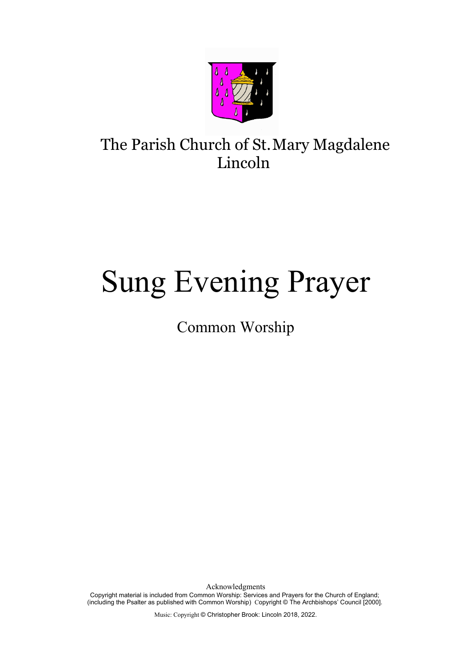

# The Parish Church of St.Mary Magdalene Lincoln

# Sung Evening Prayer

Common Worship

Acknowledgments Copyright material is included from Common Worship: Services and Prayers for the Church of England; (including the Psalter as published with Common Worship) Copyright © The Archbishops' Council [2000].

Music: Copyright © Christopher Brook: Lincoln 2018, 2022.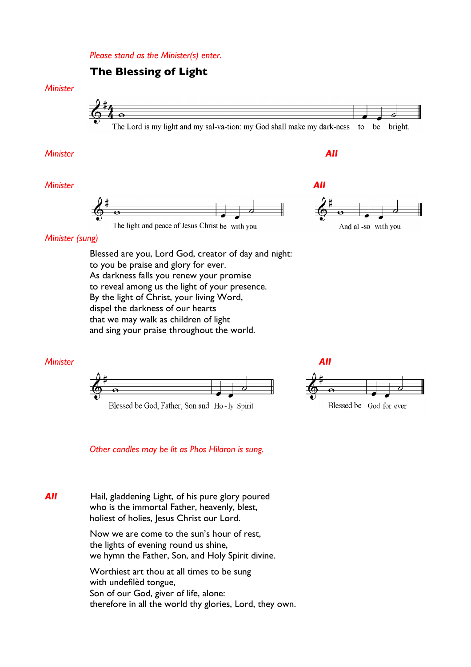*Please stand as the Minister(s) enter.* 

#### **The Blessing of Light**

#### *Minister*



#### *Minister All*

#### *Minister All*





#### *Minister (sung)*

Blessed are you, Lord God, creator of day and night: to you be praise and glory for ever. As darkness falls you renew your promise to reveal among us the light of your presence. By the light of Christ, your living Word, dispel the darkness of our hearts that we may walk as children of light and sing your praise throughout the world.





 *Other candles may be lit as Phos Hilaron is sung.*

**All Hail, gladdening Light, of his pure glory poured**  who is the immortal Father, heavenly, blest, holiest of holies, Jesus Christ our Lord.

> Now we are come to the sun's hour of rest, the lights of evening round us shine, we hymn the Father, Son, and Holy Spirit divine.

Worthiest art thou at all times to be sung with undeflèd tongue, Son of our God, giver of life, alone: therefore in all the world thy glories, Lord, they own.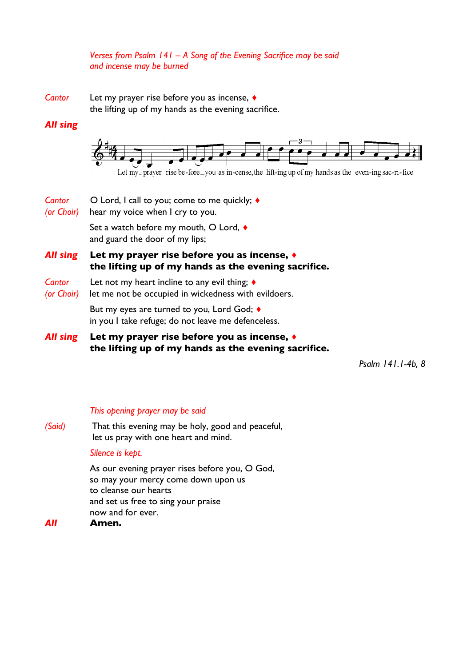#### *Verses from Psalm 141 – A Song of the Evening Sacrifce may be said and incense may be burned*

*Cantor* Let my prayer rise before you as incense, ♦

the lifting up of my hands as the evening sacrifce.

#### *All sing*



- *Cantor* Lord, I call to you; come to me quickly; ♦
- *(or Choir)* hear my voice when I cry to you.

Set a watch before my mouth, O Lord, ♦ and guard the door of my lips;

#### *All sing* **Let my prayer rise before you as incense, ♦ the lifting up of my hands as the evening sacrifce.**

- *Cantor* Let not my heart incline to any evil thing; ♦
- *(or Choir)* let me not be occupied in wickedness with evildoers.

But my eyes are turned to you, Lord God; ♦ in you I take refuge; do not leave me defenceless.

*All sing* **Let my prayer rise before you as incense, ♦ the lifting up of my hands as the evening sacrifce.**

*Psalm 141.1-4b, 8*

#### *This opening prayer may be said*

*(Said)* That this evening may be holy, good and peaceful, let us pray with one heart and mind.

#### *Silence is kept.*

As our evening prayer rises before you, O God, so may your mercy come down upon us to cleanse our hearts and set us free to sing your praise now and for ever.

#### *All* **Amen.**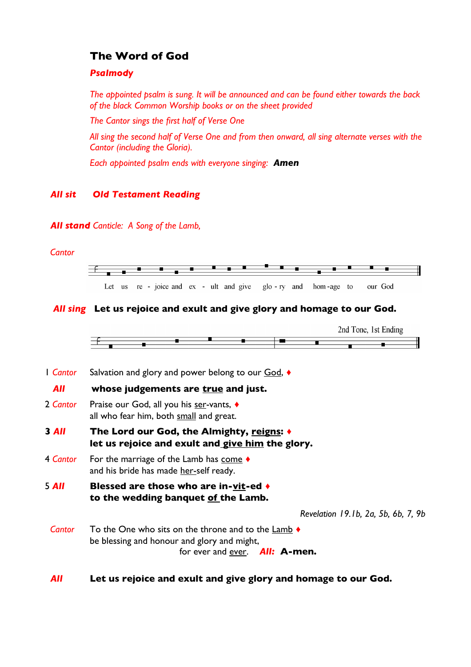### **The Word of God**

#### *Psalmody*

*The appointed psalm is sung. It will be announced and can be found either towards the back of the black Common Worship books or on the sheet provided*

*The Cantor sings the frst half of Verse One*

*All sing the second half of Verse One and from then onward, all sing alternate verses with the Cantor (including the Gloria).*

*Each appointed psalm ends with everyone singing: Amen*

#### *All sit Old Testament Reading*

#### *All stand Canticle: A Song of the Lamb,*

#### *Cantor*



#### *All sing* **Let us rejoice and exult and give glory and homage to our God.**



1 *Cantor* Salvation and glory and power belong to our God, ♦

#### *All* **whose judgements are true and just.**

- 2 *Cantor* Praise our God, all you his ser-vants, ♦ all who fear him, both small and great.
- **3** *All* **The Lord our God, the Almighty, reigns: ♦ let us rejoice and exult and give him the glory.**
- 4 **Cantor** For the marriage of the Lamb has come  $\triangle$ and his bride has made her-self ready.
- 5 *All* **Blessed are those who are in-vit-ed ♦ to the wedding banquet of the Lamb.**

*Revelation 19.1b, 2a, 5b, 6b, 7, 9b*

- *Cantor* To the One who sits on the throne and to the **Lamb** ♦ be blessing and honour and glory and might, for ever and ever. *All:* **A-men.**
- *All* **Let us rejoice and exult and give glory and homage to our God.**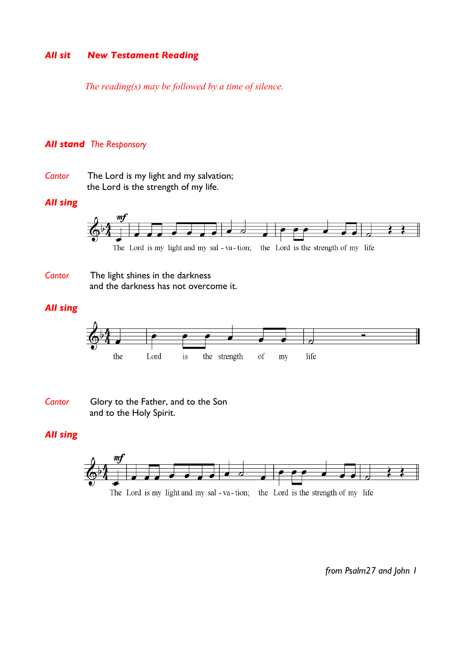#### *All sit New Testament Reading*

 *The reading(s) may be followed by a time of silence.*

#### *All stand The Responsory*

*Cantor* The Lord is my light and my salvation; the Lord is the strength of my life.

#### *All sing*



**Cantor** The light shines in the darkness and the darkness has not overcome it.

#### *All sing*



*Cantor* Glory to the Father, and to the Son and to the Holy Spirit.

#### *All sing*



*from Psalm27 and John 1*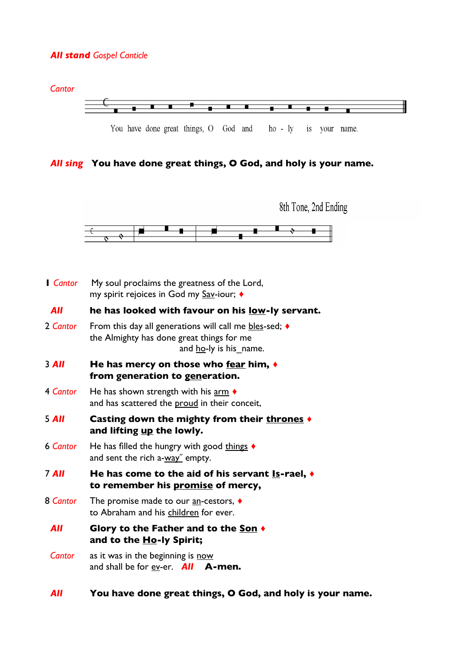#### *All stand Gospel Canticle*



You have done great things, O God and ho - ly is your name.

#### *All sing* **You have done great things, O God, and holy is your name.**



| <b>Cantor</b> | My soul proclaims the greatness of the Lord,<br>my spirit rejoices in God my Sav-iour; ♦                                                       |
|---------------|------------------------------------------------------------------------------------------------------------------------------------------------|
| All           | he has looked with favour on his <u>low</u> -ly servant.                                                                                       |
| 2 Cantor      | From this day all generations will call me $bles$ -sed; $\triangleleft$<br>the Almighty has done great things for me<br>and ho-ly is his_name. |
| $3$ All       | He has mercy on those who fear him, $\triangleleft$<br>from generation to generation.                                                          |
| 4 Cantor      | He has shown strength with his $\frac{arm}{ } \Leftrightarrow$<br>and has scattered the proud in their conceit,                                |
| 5 All         | Casting down the mighty from their thrones ♦<br>and lifting up the lowly.                                                                      |
| 6 Cantor      | He has filled the hungry with good things $\triangleleft$<br>and sent the rich a-way" empty.                                                   |
| $7$ All       | He has come to the aid of his servant $ls$ -rael, $\blacklozenge$<br>to remember his promise of mercy,                                         |
| 8 Cantor      | The promise made to our $\underline{\text{an}}$ -cestors, $\blacklozenge$<br>to Abraham and his children for ever.                             |
| All           | Glory to the Father and to the Son +<br>and to the Ho-ly Spirit;                                                                               |
| Cantor        | as it was in the beginning is now<br>and shall be for $ev$ -er. <b>All A-men.</b>                                                              |

#### *All* **You have done great things, O God, and holy is your name.**